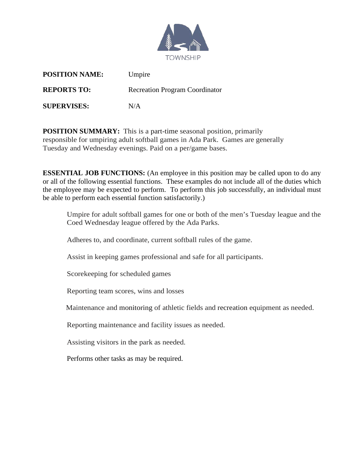

| <b>POSITION NAME:</b> | Umpire                                |
|-----------------------|---------------------------------------|
| <b>REPORTS TO:</b>    | <b>Recreation Program Coordinator</b> |
| <b>SUPERVISES:</b>    | N/A                                   |

**POSITION SUMMARY:** This is a part-time seasonal position, primarily responsible for umpiring adult softball games in Ada Park. Games are generally Tuesday and Wednesday evenings. Paid on a per/game bases.

**ESSENTIAL JOB FUNCTIONS:** (An employee in this position may be called upon to do any or all of the following essential functions. These examples do not include all of the duties which the employee may be expected to perform. To perform this job successfully, an individual must be able to perform each essential function satisfactorily.)

Umpire for adult softball games for one or both of the men's Tuesday league and the Coed Wednesday league offered by the Ada Parks.

Adheres to, and coordinate, current softball rules of the game.

Assist in keeping games professional and safe for all participants.

Scorekeeping for scheduled games

Reporting team scores, wins and losses

Maintenance and monitoring of athletic fields and recreation equipment as needed.

Reporting maintenance and facility issues as needed.

Assisting visitors in the park as needed.

Performs other tasks as may be required.